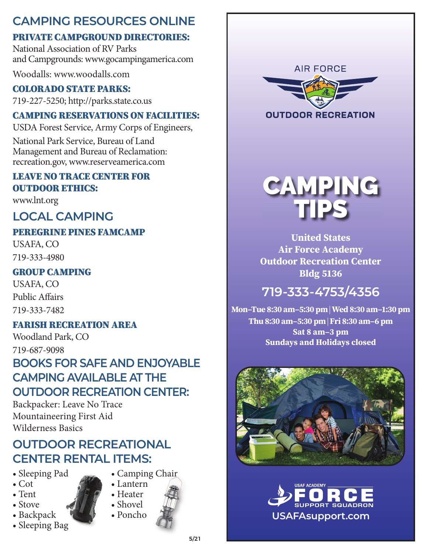### **CAMPING RESOURCES ONLINE**

#### PRIVATE CAMPGROUND DIRECTORIES:

National Association of RV Parks and Campgrounds: www.gocampingamerica.com

Woodalls: www.woodalls.com

#### COLORADO STATE PARKS:

719-227-5250; http://parks.state.co.us

#### CAMPING RESERVATIONS ON FACILITIES:

USDA Forest Service, Army Corps of Engineers,

National Park Service, Bureau of Land Management and Bureau of Reclamation: recreation.gov, www.reserveamerica.com

#### LEAVE NO TRACE CENTER FOR OUTDOOR ETHICS:

www.lnt.org

#### **LOCAL CAMPING**

#### PEREGRINE PINES FAMCAMP USAFA, CO

719-333-4980

#### GROUP CAMPING

USAFA, CO Public Affairs 719-333-7482

#### FARISH RECREATION AREA

Woodland Park, CO 719-687-9098

### **BOOKS FOR SAFE AND ENJOYABLE CAMPING AVAILABLE AT THE OUTDOOR RECREATION CENTER:**

Backpacker: Leave No Trace Mountaineering First Aid Wilderness Basics

### **OUTDOOR RECREATIONAL CENTER RENTAL ITEMS:**

- Sleeping Pad
- Cot
- Tent
- Stove
- Backpack
- Sleeping Bag
- Lantern • Heater

• Camping Chair

- Shovel
- Poncho
	-





**United States Air Force Academy Outdoor Recreation Center Bldg 5136**

# **719-333-4753/4356**

**Mon–Tue 8:30 am–5:30 pm | Wed 8:30 am–1:30 pm Thu 8:30 am–5:30 pm | Fri 8:30 am–6 pm Sat 8 am–3 pm Sundays and Holidays closed**